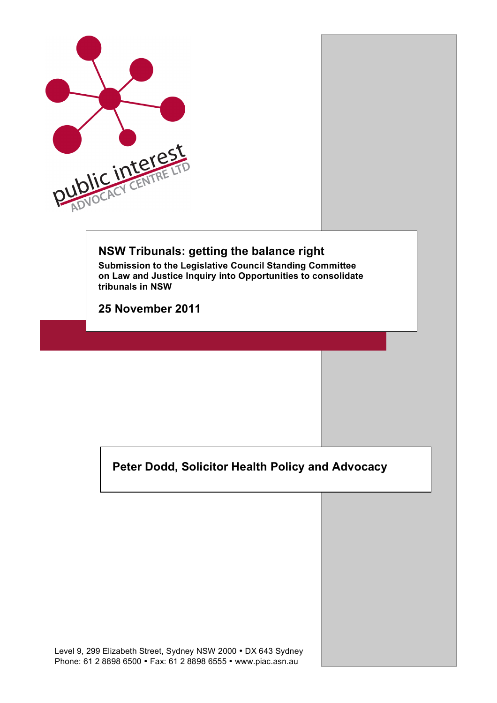

# **NSW Tribunals: getting the balance right**

**Submission to the Legislative Council Standing Committee on Law and Justice Inquiry into Opportunities to consolidate tribunals in NSW**

**25 November 2011**

**Peter Dodd, Solicitor Health Policy and Advocacy**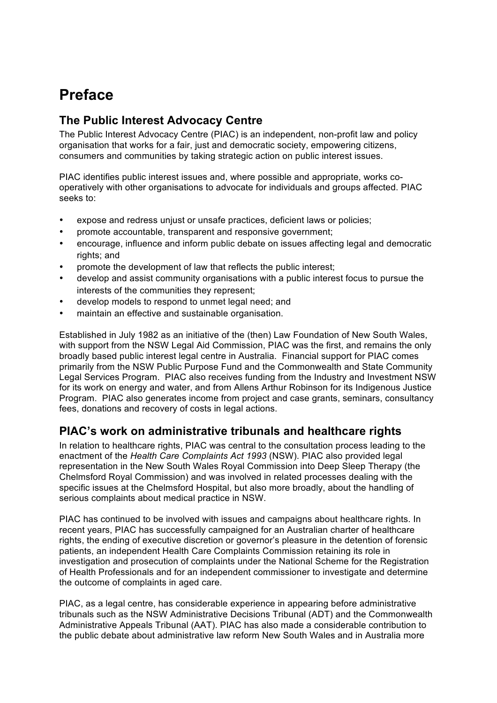# **Preface**

## **The Public Interest Advocacy Centre**

The Public Interest Advocacy Centre (PIAC) is an independent, non-profit law and policy organisation that works for a fair, just and democratic society, empowering citizens, consumers and communities by taking strategic action on public interest issues.

PIAC identifies public interest issues and, where possible and appropriate, works cooperatively with other organisations to advocate for individuals and groups affected. PIAC seeks to:

- expose and redress unjust or unsafe practices, deficient laws or policies;
- promote accountable, transparent and responsive government;
- encourage, influence and inform public debate on issues affecting legal and democratic rights; and
- promote the development of law that reflects the public interest;
- develop and assist community organisations with a public interest focus to pursue the interests of the communities they represent;
- develop models to respond to unmet legal need; and
- maintain an effective and sustainable organisation.

Established in July 1982 as an initiative of the (then) Law Foundation of New South Wales, with support from the NSW Legal Aid Commission, PIAC was the first, and remains the only broadly based public interest legal centre in Australia. Financial support for PIAC comes primarily from the NSW Public Purpose Fund and the Commonwealth and State Community Legal Services Program. PIAC also receives funding from the Industry and Investment NSW for its work on energy and water, and from Allens Arthur Robinson for its Indigenous Justice Program. PIAC also generates income from project and case grants, seminars, consultancy fees, donations and recovery of costs in legal actions.

## **PIAC's work on administrative tribunals and healthcare rights**

In relation to healthcare rights, PIAC was central to the consultation process leading to the enactment of the *Health Care Complaints Act 1993* (NSW). PIAC also provided legal representation in the New South Wales Royal Commission into Deep Sleep Therapy (the Chelmsford Royal Commission) and was involved in related processes dealing with the specific issues at the Chelmsford Hospital, but also more broadly, about the handling of serious complaints about medical practice in NSW.

PIAC has continued to be involved with issues and campaigns about healthcare rights. In recent years, PIAC has successfully campaigned for an Australian charter of healthcare rights, the ending of executive discretion or governor's pleasure in the detention of forensic patients, an independent Health Care Complaints Commission retaining its role in investigation and prosecution of complaints under the National Scheme for the Registration of Health Professionals and for an independent commissioner to investigate and determine the outcome of complaints in aged care.

PIAC, as a legal centre, has considerable experience in appearing before administrative tribunals such as the NSW Administrative Decisions Tribunal (ADT) and the Commonwealth Administrative Appeals Tribunal (AAT). PIAC has also made a considerable contribution to the public debate about administrative law reform New South Wales and in Australia more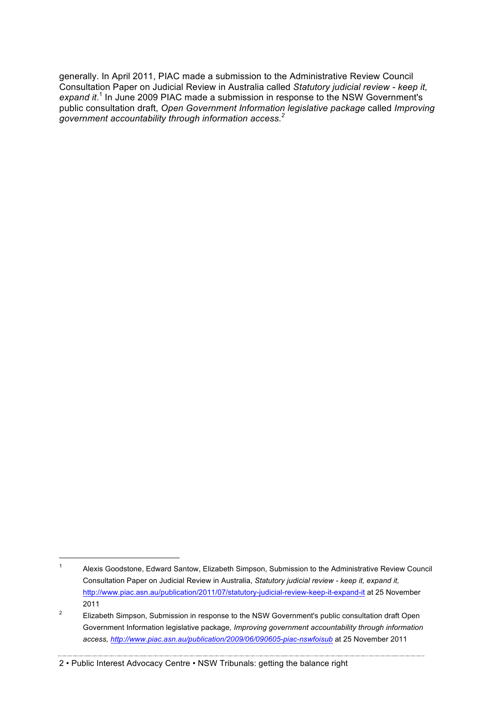generally. In April 2011, PIAC made a submission to the Administrative Review Council Consultation Paper on Judicial Review in Australia called *Statutory judicial review - keep it,*  expand it.<sup>1</sup> In June 2009 PIAC made a submission in response to the NSW Government's public consultation draft, *Open Government Information legislative package* called *Improving government accountability through information access. 2*

#### 2 • Public Interest Advocacy Centre • NSW Tribunals: getting the balance right

 <sup>1</sup> Alexis Goodstone, Edward Santow, Elizabeth Simpson, Submission to the Administrative Review Council Consultation Paper on Judicial Review in Australia, *Statutory judicial review - keep it, expand it,* http://www.piac.asn.au/publication/2011/07/statutory-judicial-review-keep-it-expand-it at 25 November 2011

<sup>&</sup>lt;sup>2</sup> Elizabeth Simpson, Submission in response to the NSW Government's public consultation draft Open Government Information legislative package*, Improving government accountability through information access, http://www.piac.asn.au/publication/2009/06/090605-piac-nswfoisub* at 25 November 2011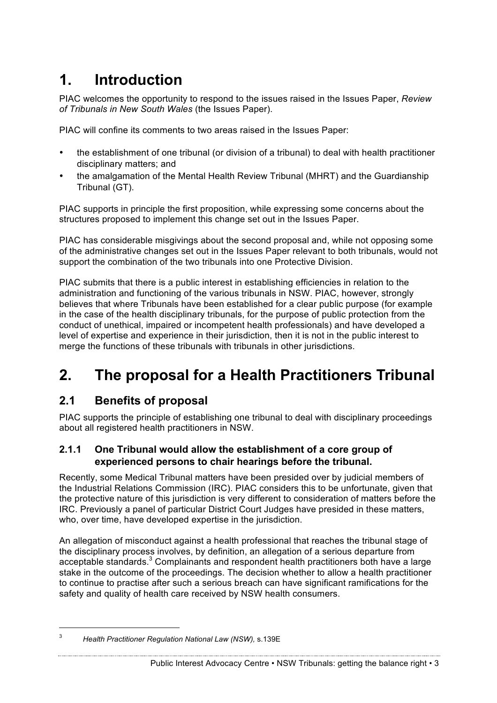# **1. Introduction**

PIAC welcomes the opportunity to respond to the issues raised in the Issues Paper, *Review of Tribunals in New South Wales* (the Issues Paper).

PIAC will confine its comments to two areas raised in the Issues Paper:

- the establishment of one tribunal (or division of a tribunal) to deal with health practitioner disciplinary matters; and
- the amalgamation of the Mental Health Review Tribunal (MHRT) and the Guardianship Tribunal (GT).

PIAC supports in principle the first proposition, while expressing some concerns about the structures proposed to implement this change set out in the Issues Paper.

PIAC has considerable misgivings about the second proposal and, while not opposing some of the administrative changes set out in the Issues Paper relevant to both tribunals, would not support the combination of the two tribunals into one Protective Division.

PIAC submits that there is a public interest in establishing efficiencies in relation to the administration and functioning of the various tribunals in NSW. PIAC, however, strongly believes that where Tribunals have been established for a clear public purpose (for example in the case of the health disciplinary tribunals, for the purpose of public protection from the conduct of unethical, impaired or incompetent health professionals) and have developed a level of expertise and experience in their jurisdiction, then it is not in the public interest to merge the functions of these tribunals with tribunals in other jurisdictions.

# **2. The proposal for a Health Practitioners Tribunal**

# **2.1 Benefits of proposal**

PIAC supports the principle of establishing one tribunal to deal with disciplinary proceedings about all registered health practitioners in NSW.

## **2.1.1 One Tribunal would allow the establishment of a core group of experienced persons to chair hearings before the tribunal.**

Recently, some Medical Tribunal matters have been presided over by judicial members of the Industrial Relations Commission (IRC). PIAC considers this to be unfortunate, given that the protective nature of this jurisdiction is very different to consideration of matters before the IRC. Previously a panel of particular District Court Judges have presided in these matters, who, over time, have developed expertise in the jurisdiction.

An allegation of misconduct against a health professional that reaches the tribunal stage of the disciplinary process involves, by definition, an allegation of a serious departure from acceptable standards.<sup>3</sup> Complainants and respondent health practitioners both have a large stake in the outcome of the proceedings. The decision whether to allow a health practitioner to continue to practise after such a serious breach can have significant ramifications for the safety and quality of health care received by NSW health consumers.

 <sup>3</sup> *Health Practitioner Regulation National Law (NSW),* s.139E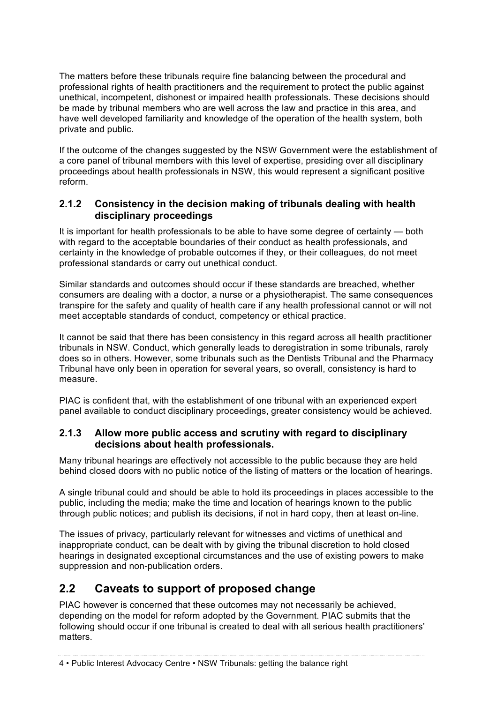The matters before these tribunals require fine balancing between the procedural and professional rights of health practitioners and the requirement to protect the public against unethical, incompetent, dishonest or impaired health professionals. These decisions should be made by tribunal members who are well across the law and practice in this area, and have well developed familiarity and knowledge of the operation of the health system, both private and public.

If the outcome of the changes suggested by the NSW Government were the establishment of a core panel of tribunal members with this level of expertise, presiding over all disciplinary proceedings about health professionals in NSW, this would represent a significant positive reform.

### **2.1.2 Consistency in the decision making of tribunals dealing with health disciplinary proceedings**

It is important for health professionals to be able to have some degree of certainty — both with regard to the acceptable boundaries of their conduct as health professionals, and certainty in the knowledge of probable outcomes if they, or their colleagues, do not meet professional standards or carry out unethical conduct.

Similar standards and outcomes should occur if these standards are breached, whether consumers are dealing with a doctor, a nurse or a physiotherapist. The same consequences transpire for the safety and quality of health care if any health professional cannot or will not meet acceptable standards of conduct, competency or ethical practice.

It cannot be said that there has been consistency in this regard across all health practitioner tribunals in NSW. Conduct, which generally leads to deregistration in some tribunals, rarely does so in others. However, some tribunals such as the Dentists Tribunal and the Pharmacy Tribunal have only been in operation for several years, so overall, consistency is hard to measure.

PIAC is confident that, with the establishment of one tribunal with an experienced expert panel available to conduct disciplinary proceedings, greater consistency would be achieved.

## **2.1.3 Allow more public access and scrutiny with regard to disciplinary decisions about health professionals.**

Many tribunal hearings are effectively not accessible to the public because they are held behind closed doors with no public notice of the listing of matters or the location of hearings.

A single tribunal could and should be able to hold its proceedings in places accessible to the public, including the media; make the time and location of hearings known to the public through public notices; and publish its decisions, if not in hard copy, then at least on-line.

The issues of privacy, particularly relevant for witnesses and victims of unethical and inappropriate conduct, can be dealt with by giving the tribunal discretion to hold closed hearings in designated exceptional circumstances and the use of existing powers to make suppression and non-publication orders.

## **2.2 Caveats to support of proposed change**

PIAC however is concerned that these outcomes may not necessarily be achieved, depending on the model for reform adopted by the Government. PIAC submits that the following should occur if one tribunal is created to deal with all serious health practitioners' matters.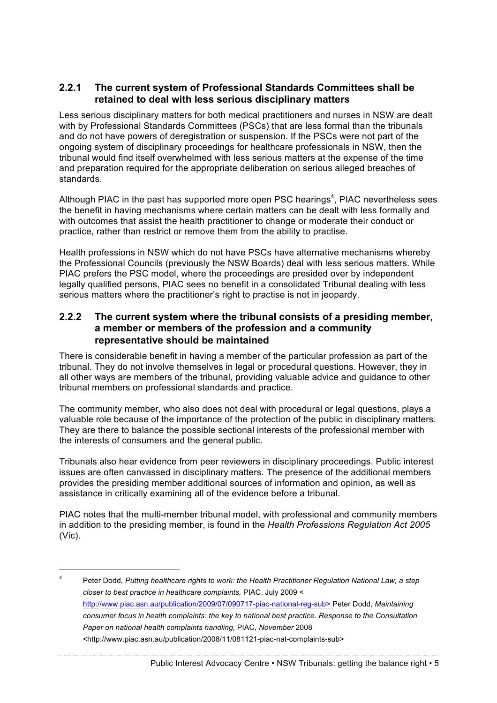### **2.2.1 The current system of Professional Standards Committees shall be retained to deal with less serious disciplinary matters**

Less serious disciplinary matters for both medical practitioners and nurses in NSW are dealt with by Professional Standards Committees (PSCs) that are less formal than the tribunals and do not have powers of deregistration or suspension. If the PSCs were not part of the ongoing system of disciplinary proceedings for healthcare professionals in NSW, then the tribunal would find itself overwhelmed with less serious matters at the expense of the time and preparation required for the appropriate deliberation on serious alleged breaches of standards.

Although PIAC in the past has supported more open PSC hearings<sup>4</sup>, PIAC nevertheless sees the benefit in having mechanisms where certain matters can be dealt with less formally and with outcomes that assist the health practitioner to change or moderate their conduct or practice, rather than restrict or remove them from the ability to practise.

Health professions in NSW which do not have PSCs have alternative mechanisms whereby the Professional Councils (previously the NSW Boards) deal with less serious matters. While PIAC prefers the PSC model, where the proceedings are presided over by independent legally qualified persons, PIAC sees no benefit in a consolidated Tribunal dealing with less serious matters where the practitioner's right to practise is not in jeopardy.

### **2.2.2 The current system where the tribunal consists of a presiding member, a member or members of the profession and a community representative should be maintained**

There is considerable benefit in having a member of the particular profession as part of the tribunal. They do not involve themselves in legal or procedural questions. However, they in all other ways are members of the tribunal, providing valuable advice and guidance to other tribunal members on professional standards and practice.

The community member, who also does not deal with procedural or legal questions, plays a valuable role because of the importance of the protection of the public in disciplinary matters. They are there to balance the possible sectional interests of the professional member with the interests of consumers and the general public.

Tribunals also hear evidence from peer reviewers in disciplinary proceedings. Public interest issues are often canvassed in disciplinary matters. The presence of the additional members provides the presiding member additional sources of information and opinion, as well as assistance in critically examining all of the evidence before a tribunal.

PIAC notes that the multi-member tribunal model, with professional and community members in addition to the presiding member, is found in the *Health Professions Regulation Act 2005* (Vic).

 <sup>4</sup> Peter Dodd, *Putting healthcare rights to work: the Health Practitioner Regulation National Law, a step closer to best practice in healthcare complaints,* PIAC, July 2009 < http://www.piac.asn.au/publication/2009/07/090717-piac-national-reg-sub> Peter Dodd, *Maintaining consumer focus in health complaints: the key to national best practice. Response to the Consultation Paper on national health complaints handling,* PIAC, *November* 2008 <http://www.piac.asn.au/publication/2008/11/081121-piac-nat-complaints-sub>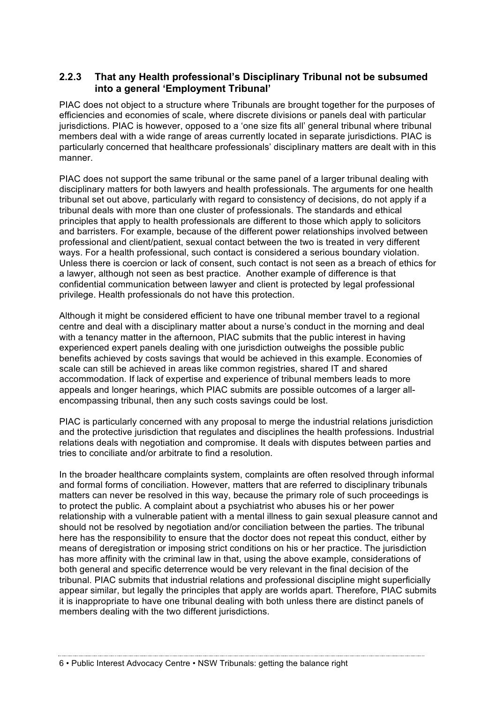### **2.2.3 That any Health professional's Disciplinary Tribunal not be subsumed into a general 'Employment Tribunal'**

PIAC does not object to a structure where Tribunals are brought together for the purposes of efficiencies and economies of scale, where discrete divisions or panels deal with particular jurisdictions. PIAC is however, opposed to a 'one size fits all' general tribunal where tribunal members deal with a wide range of areas currently located in separate jurisdictions. PIAC is particularly concerned that healthcare professionals' disciplinary matters are dealt with in this manner.

PIAC does not support the same tribunal or the same panel of a larger tribunal dealing with disciplinary matters for both lawyers and health professionals. The arguments for one health tribunal set out above, particularly with regard to consistency of decisions, do not apply if a tribunal deals with more than one cluster of professionals. The standards and ethical principles that apply to health professionals are different to those which apply to solicitors and barristers. For example, because of the different power relationships involved between professional and client/patient, sexual contact between the two is treated in very different ways. For a health professional, such contact is considered a serious boundary violation. Unless there is coercion or lack of consent, such contact is not seen as a breach of ethics for a lawyer, although not seen as best practice. Another example of difference is that confidential communication between lawyer and client is protected by legal professional privilege. Health professionals do not have this protection.

Although it might be considered efficient to have one tribunal member travel to a regional centre and deal with a disciplinary matter about a nurse's conduct in the morning and deal with a tenancy matter in the afternoon, PIAC submits that the public interest in having experienced expert panels dealing with one jurisdiction outweighs the possible public benefits achieved by costs savings that would be achieved in this example. Economies of scale can still be achieved in areas like common registries, shared IT and shared accommodation. If lack of expertise and experience of tribunal members leads to more appeals and longer hearings, which PIAC submits are possible outcomes of a larger allencompassing tribunal, then any such costs savings could be lost.

PIAC is particularly concerned with any proposal to merge the industrial relations jurisdiction and the protective jurisdiction that regulates and disciplines the health professions. Industrial relations deals with negotiation and compromise. It deals with disputes between parties and tries to conciliate and/or arbitrate to find a resolution.

In the broader healthcare complaints system, complaints are often resolved through informal and formal forms of conciliation. However, matters that are referred to disciplinary tribunals matters can never be resolved in this way, because the primary role of such proceedings is to protect the public. A complaint about a psychiatrist who abuses his or her power relationship with a vulnerable patient with a mental illness to gain sexual pleasure cannot and should not be resolved by negotiation and/or conciliation between the parties. The tribunal here has the responsibility to ensure that the doctor does not repeat this conduct, either by means of deregistration or imposing strict conditions on his or her practice. The jurisdiction has more affinity with the criminal law in that, using the above example, considerations of both general and specific deterrence would be very relevant in the final decision of the tribunal. PIAC submits that industrial relations and professional discipline might superficially appear similar, but legally the principles that apply are worlds apart. Therefore, PIAC submits it is inappropriate to have one tribunal dealing with both unless there are distinct panels of members dealing with the two different jurisdictions.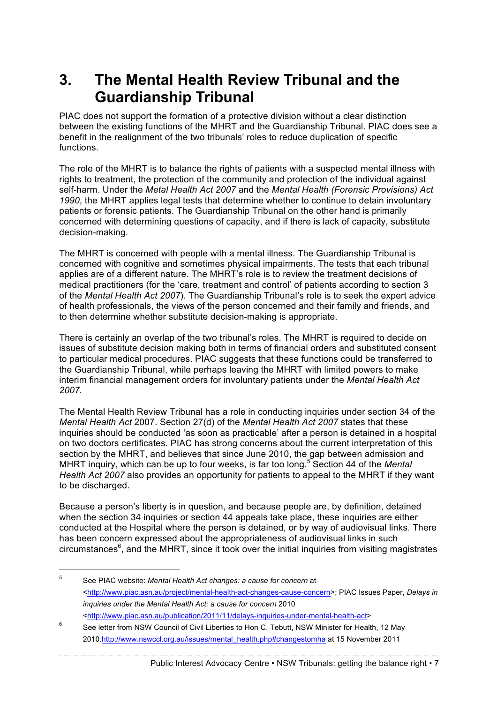# **3. The Mental Health Review Tribunal and the Guardianship Tribunal**

PIAC does not support the formation of a protective division without a clear distinction between the existing functions of the MHRT and the Guardianship Tribunal. PIAC does see a benefit in the realignment of the two tribunals' roles to reduce duplication of specific functions.

The role of the MHRT is to balance the rights of patients with a suspected mental illness with rights to treatment, the protection of the community and protection of the individual against self-harm. Under the *Metal Health Act 2007* and the *Mental Health (Forensic Provisions) Act 1990*, the MHRT applies legal tests that determine whether to continue to detain involuntary patients or forensic patients. The Guardianship Tribunal on the other hand is primarily concerned with determining questions of capacity, and if there is lack of capacity, substitute decision-making.

The MHRT is concerned with people with a mental illness. The Guardianship Tribunal is concerned with cognitive and sometimes physical impairments. The tests that each tribunal applies are of a different nature. The MHRT's role is to review the treatment decisions of medical practitioners (for the 'care, treatment and control' of patients according to section 3 of the *Mental Health Act 2007*). The Guardianship Tribunal's role is to seek the expert advice of health professionals, the views of the person concerned and their family and friends, and to then determine whether substitute decision-making is appropriate.

There is certainly an overlap of the two tribunal's roles. The MHRT is required to decide on issues of substitute decision making both in terms of financial orders and substituted consent to particular medical procedures. PIAC suggests that these functions could be transferred to the Guardianship Tribunal, while perhaps leaving the MHRT with limited powers to make interim financial management orders for involuntary patients under the *Mental Health Act 2007.*

The Mental Health Review Tribunal has a role in conducting inquiries under section 34 of the *Mental Health Act* 2007. Section 27(d) of the *Mental Health Act 2007* states that these inquiries should be conducted 'as soon as practicable' after a person is detained in a hospital on two doctors certificates. PIAC has strong concerns about the current interpretation of this section by the MHRT, and believes that since June 2010, the gap between admission and MHRT inquiry, which can be up to four weeks, is far too long.<sup>5</sup> Section 44 of the *Mental Health Act 2007* also provides an opportunity for patients to appeal to the MHRT if they want to be discharged.

Because a person's liberty is in question, and because people are, by definition, detained when the section 34 inquiries or section 44 appeals take place, these inquiries are either conducted at the Hospital where the person is detained, or by way of audiovisual links. There has been concern expressed about the appropriateness of audiovisual links in such circumstances<sup>6</sup>, and the MHRT, since it took over the initial inquiries from visiting magistrates

 <sup>5</sup> See PIAC website: *Mental Health Act changes: a cause for concern* at <http://www.piac.asn.au/project/mental-health-act-changes-cause-concern>; PIAC Issues Paper, *Delays in inquiries under the Mental Health Act: a cause for concern* 2010 <http://www.piac.asn.au/publication/2011/11/delays-inquiries-under-mental-health-act>

<sup>&</sup>lt;sup>6</sup> See letter from NSW Council of Civil Liberties to Hon C. Tebutt, NSW Minister for Health, 12 May 2010.http://www.nswccl.org.au/issues/mental\_health.php#changestomha at 15 November 2011